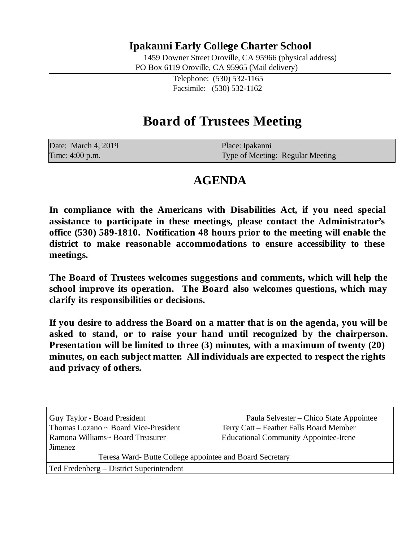## **Ipakanni Early College Charter School**

1459 Downer Street Oroville, CA 95966 (physical address) PO Box 6119 Oroville, CA 95965 (Mail delivery)

> Telephone: (530) 532-1165 Facsimile: (530) 532-1162

# **Board of Trustees Meeting**

| Date: March 4, 2019 | Place: Ipakanni                  |
|---------------------|----------------------------------|
| Time: 4:00 p.m.     | Type of Meeting: Regular Meeting |

## **AGENDA**

**In compliance with the Americans with Disabilities Act, if you need special assistance to participate in these meetings, please contact the Administrator's office (530) 589-1810. Notification 48 hours prior to the meeting will enable the district to make reasonable accommodations to ensure accessibility to these meetings.**

**The Board of Trustees welcomes suggestions and comments, which will help the school improve its operation. The Board also welcomes questions, which may clarify its responsibilities or decisions.**

**If you desire to address the Board on a matter that is on the agenda, you will be asked to stand, or to raise your hand until recognized by the chairperson. Presentation will be limited to three (3) minutes, with a maximum of twenty (20) minutes, on each subject matter. All individuals are expected to respect the rights and privacy of others.**

Thomas Lozano  $\sim$  Board Vice-President Terry Catt – Feather Falls Board Member Ramona Williams~ Board Treasurer Educational Community Appointee-Irene Jimenez

Guy Taylor - Board President Paula Selvester – Chico State Appointee

Teresa Ward- Butte College appointee and Board Secretary

Ted Fredenberg – District Superintendent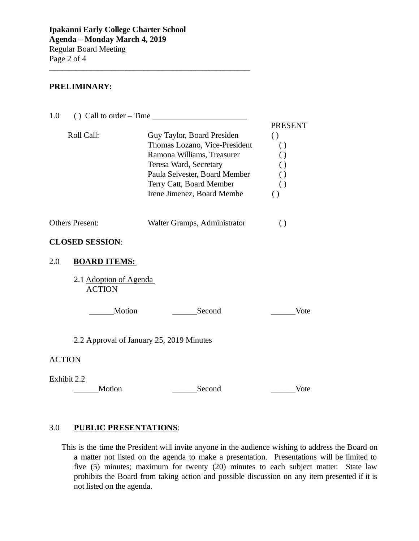\_\_\_\_\_\_\_\_\_\_\_\_\_\_\_\_\_\_\_\_\_\_\_\_\_\_\_\_\_\_\_\_\_\_\_\_\_\_\_\_\_\_\_\_\_\_\_\_\_\_\_\_\_\_\_\_

#### **PRELIMINARY:**

| 1.0                                     | () Call to order $-$ Time $\_\_\_\_\_\_\_\_\_\_\_\_\_\_\_\_\_\_\_\_\_\_\_\_\_\_\_\_\_\_$                                                                                                                       |                                                                                                                                                            |
|-----------------------------------------|----------------------------------------------------------------------------------------------------------------------------------------------------------------------------------------------------------------|------------------------------------------------------------------------------------------------------------------------------------------------------------|
| Roll Call:                              | Guy Taylor, Board Presiden<br>Thomas Lozano, Vice-President<br>Ramona Williams, Treasurer<br>Teresa Ward, Secretary<br>Paula Selvester, Board Member<br>Terry Catt, Board Member<br>Irene Jimenez, Board Membe | <b>PRESENT</b><br>$\left( \right)$<br>$\left( \right)$<br>$\left( \right)$<br>$\left( \right)$<br>$\left( \right)$<br>$\left( \right)$<br>$\left( \right)$ |
| Others Present:                         | Walter Gramps, Administrator                                                                                                                                                                                   | $\left( \right)$                                                                                                                                           |
| <b>CLOSED SESSION:</b>                  |                                                                                                                                                                                                                |                                                                                                                                                            |
| 2.0<br><b>BOARD ITEMS:</b>              |                                                                                                                                                                                                                |                                                                                                                                                            |
| 2.1 Adoption of Agenda<br><b>ACTION</b> |                                                                                                                                                                                                                |                                                                                                                                                            |
| Motion                                  | Second                                                                                                                                                                                                         | Vote                                                                                                                                                       |
|                                         | 2.2 Approval of January 25, 2019 Minutes                                                                                                                                                                       |                                                                                                                                                            |
| <b>ACTION</b>                           |                                                                                                                                                                                                                |                                                                                                                                                            |
| Exhibit 2.2<br>Motion                   | Second                                                                                                                                                                                                         | Vote                                                                                                                                                       |
|                                         |                                                                                                                                                                                                                |                                                                                                                                                            |

### 3.0 **PUBLIC PRESENTATIONS**:

This is the time the President will invite anyone in the audience wishing to address the Board on a matter not listed on the agenda to make a presentation. Presentations will be limited to five (5) minutes; maximum for twenty (20) minutes to each subject matter. State law prohibits the Board from taking action and possible discussion on any item presented if it is not listed on the agenda.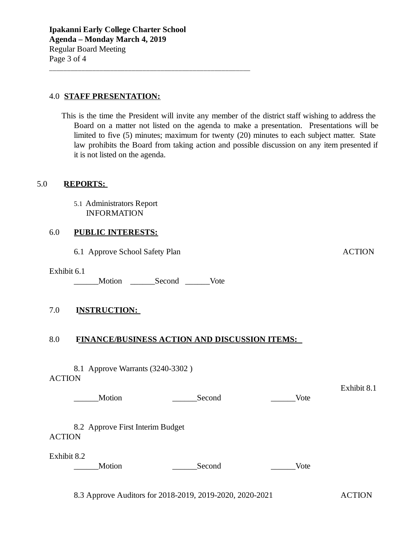\_\_\_\_\_\_\_\_\_\_\_\_\_\_\_\_\_\_\_\_\_\_\_\_\_\_\_\_\_\_\_\_\_\_\_\_\_\_\_\_\_\_\_\_\_\_\_\_\_\_\_\_\_\_\_\_

#### 4.0 **STAFF PRESENTATION:**

This is the time the President will invite any member of the district staff wishing to address the Board on a matter not listed on the agenda to make a presentation. Presentations will be limited to five (5) minutes; maximum for twenty (20) minutes to each subject matter. State law prohibits the Board from taking action and possible discussion on any item presented if it is not listed on the agenda.

#### 5.0 **REPORTS:**

5.1 Administrators Report INFORMATION

#### 6.0 **PUBLIC INTERESTS:**

6.1 Approve School Safety Plan ACTION

Exhibit 6.1

\_\_\_\_\_\_Motion \_\_\_\_\_\_Second \_\_\_\_\_\_Vote

#### 7.0 **INSTRUCTION:**

#### 8.0 **FINANCE/BUSINESS ACTION AND DISCUSSION ITEMS:**

8.1 Approve Warrants (3240-3302 ) **ACTION** 

> Exhibit 8.1 Motion **Example 20** Second Vote

8.2 Approve First Interim Budget **ACTION** 

Exhibit 8.2

\_\_\_\_\_\_Motion \_\_\_\_\_\_Second \_\_\_\_\_\_Vote

8.3 Approve Auditors for 2018-2019, 2019-2020, 2020-2021 ACTION